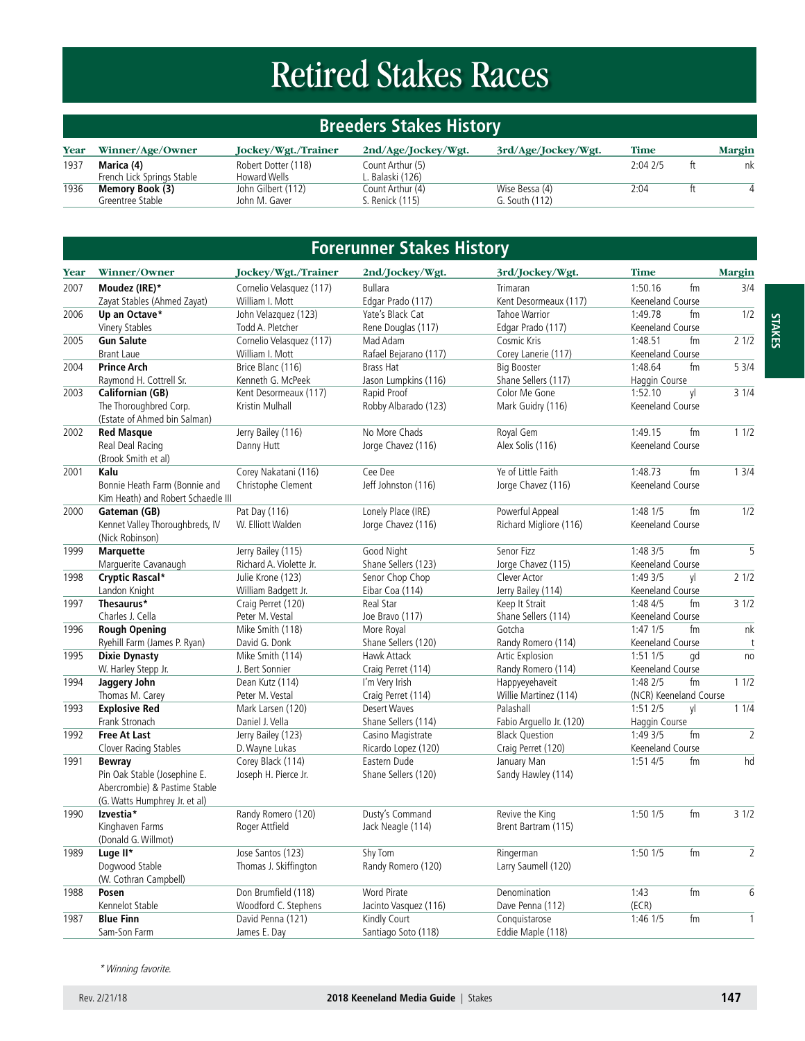# Retired Stakes Races

# **Breeders Stakes History**

| Year | Winner/Age/Owner           | Jockey/Wgt./Trainer | 2nd/Age/Jockey/Wgt. | 3rd/Age/Jockey/Wgt. | <b>Time</b> |    | Margin |
|------|----------------------------|---------------------|---------------------|---------------------|-------------|----|--------|
| 1937 | Marica (4)                 | Robert Dotter (118) | Count Arthur (5)    |                     | 2:042/5     | ft | nk     |
|      | French Lick Springs Stable | Howard Wells        | Balaski (126)       |                     |             |    |        |
| 1936 | Memory Book (3)            | John Gilbert (112)  | Count Arthur (4)    | Wise Bessa (4)      | 2:04        |    |        |
|      | Greentree Stable           | John M. Gaver       | . Renick (115)      | G. South (112)      |             |    |        |

# **Forerunner Stakes History**

| Year | Winner/Owner                       | Jockey/Wgt./Trainer      | 2nd/Jockey/Wgt.       | 3rd/Jockey/Wgt.          | <b>Time</b>            |    | <b>Margin</b>  |
|------|------------------------------------|--------------------------|-----------------------|--------------------------|------------------------|----|----------------|
| 2007 | Moudez (IRE)*                      | Cornelio Velasquez (117) | <b>Bullara</b>        | Trimaran                 | 1:50.16                | fm | 3/4            |
|      | Zayat Stables (Ahmed Zayat)        | William I. Mott          | Edgar Prado (117)     | Kent Desormeaux (117)    | Keeneland Course       |    |                |
| 2006 | Up an Octave*                      | John Velazquez (123)     | Yate's Black Cat      | Tahoe Warrior            | 1:49.78                | fm | 1/2            |
|      | Vinery Stables                     | Todd A. Pletcher         | Rene Douglas (117)    | Edgar Prado (117)        | Keeneland Course       |    |                |
| 2005 | <b>Gun Salute</b>                  | Cornelio Velasquez (117) | Mad Adam              | Cosmic Kris              | 1:48.51                | fm | 21/2           |
|      | <b>Brant Laue</b>                  | William I. Mott          | Rafael Bejarano (117) | Corey Lanerie (117)      | Keeneland Course       |    |                |
| 2004 | <b>Prince Arch</b>                 | Brice Blanc (116)        | <b>Brass Hat</b>      | <b>Big Booster</b>       | 1:48.64                | fm | 53/4           |
|      | Raymond H. Cottrell Sr.            | Kenneth G. McPeek        | Jason Lumpkins (116)  | Shane Sellers (117)      | Haggin Course          |    |                |
| 2003 | Californian (GB)                   | Kent Desormeaux (117)    | Rapid Proof           | Color Me Gone            | 1:52.10                | yl | 31/4           |
|      | The Thoroughbred Corp.             | Kristin Mulhall          | Robby Albarado (123)  | Mark Guidry (116)        | Keeneland Course       |    |                |
|      | (Estate of Ahmed bin Salman)       |                          |                       |                          |                        |    |                |
| 2002 | <b>Red Masque</b>                  | Jerry Bailey (116)       | No More Chads         | Royal Gem                | 1:49.15                | fm | 11/2           |
|      | Real Deal Racing                   | Danny Hutt               | Jorge Chavez (116)    | Alex Solis (116)         | Keeneland Course       |    |                |
|      | (Brook Smith et al)                |                          |                       |                          |                        |    |                |
| 2001 | Kalu                               | Corey Nakatani (116)     | Cee Dee               | Ye of Little Faith       | 1:48.73                | fm | 13/4           |
|      | Bonnie Heath Farm (Bonnie and      | Christophe Clement       | Jeff Johnston (116)   | Jorge Chavez (116)       | Keeneland Course       |    |                |
|      | Kim Heath) and Robert Schaedle III |                          |                       |                          |                        |    |                |
| 2000 | Gateman (GB)                       | Pat Day (116)            | Lonely Place (IRE)    | Powerful Appeal          | 1:48 1/5               | fm | 1/2            |
|      | Kennet Valley Thoroughbreds, IV    | W. Elliott Walden        | Jorge Chavez (116)    | Richard Migliore (116)   | Keeneland Course       |    |                |
|      | (Nick Robinson)                    |                          |                       |                          |                        |    |                |
| 1999 | <b>Marquette</b>                   | Jerry Bailey (115)       | Good Night            | Senor Fizz               | 1:483/5                | fm | $\overline{5}$ |
|      | Marguerite Cavanaugh               | Richard A. Violette Jr.  | Shane Sellers (123)   | Jorge Chavez (115)       | Keeneland Course       |    |                |
| 1998 | Cryptic Rascal*                    | Julie Krone (123)        | Senor Chop Chop       | Clever Actor             | 1:49 3/5               | yl | 21/2           |
|      | Landon Knight                      | William Badgett Jr.      | Eibar Coa (114)       | Jerry Bailey (114)       | Keeneland Course       |    |                |
| 1997 | Thesaurus*                         | Craig Perret (120)       | Real Star             | Keep It Strait           | 1:48 4/5               | fm | 31/2           |
|      | Charles J. Cella                   | Peter M. Vestal          | Joe Bravo (117)       | Shane Sellers (114)      | Keeneland Course       |    |                |
| 1996 | <b>Rough Opening</b>               | Mike Smith (118)         | More Royal            | Gotcha                   | $1:47$ $1/5$           | fm | nk             |
|      | Ryehill Farm (James P. Ryan)       | David G. Donk            | Shane Sellers (120)   | Randy Romero (114)       | Keeneland Course       |    | t              |
| 1995 | <b>Dixie Dynasty</b>               | Mike Smith (114)         | Hawk Attack           | Artic Explosion          | 1:51 1/5               | gd | no             |
|      | W. Harley Stepp Jr.                | J. Bert Sonnier          | Craig Perret (114)    | Randy Romero (114)       | Keeneland Course       |    |                |
| 1994 | Jaggery John                       | Dean Kutz (114)          | I'm Very Irish        | Happyeyehaveit           | 1:48 2/5               | fm | 11/2           |
|      | Thomas M. Carey                    | Peter M. Vestal          | Craig Perret (114)    | Willie Martinez (114)    | (NCR) Keeneland Course |    |                |
| 1993 | <b>Explosive Red</b>               | Mark Larsen (120)        | <b>Desert Waves</b>   | Palashall                | 1:512/5                | vl | 11/4           |
|      | Frank Stronach                     | Daniel J. Vella          | Shane Sellers (114)   | Fabio Arquello Jr. (120) | Haggin Course          |    |                |
| 1992 | <b>Free At Last</b>                | Jerry Bailey (123)       | Casino Magistrate     | <b>Black Question</b>    | 1:49 3/5               | fm | $\overline{2}$ |
|      | Clover Racing Stables              | D. Wayne Lukas           | Ricardo Lopez (120)   | Craig Perret (120)       | Keeneland Course       |    |                |
| 1991 | <b>Bewray</b>                      | Corey Black (114)        | Eastern Dude          | January Man              | 1:51 4/5               | fm | hd             |
|      | Pin Oak Stable (Josephine E.       | Joseph H. Pierce Jr.     | Shane Sellers (120)   | Sandy Hawley (114)       |                        |    |                |
|      | Abercrombie) & Pastime Stable      |                          |                       |                          |                        |    |                |
|      | (G. Watts Humphrey Jr. et al)      |                          |                       |                          |                        |    |                |
| 1990 | Izvestia*                          | Randy Romero (120)       | Dusty's Command       | Revive the King          | $1:50$ $1/5$           | fm | 31/2           |
|      | Kinghaven Farms                    | Roger Attfield           | Jack Neagle (114)     | Brent Bartram (115)      |                        |    |                |
|      | (Donald G. Willmot)                |                          |                       |                          |                        |    |                |
| 1989 | Luge II*                           | Jose Santos (123)        | Shy Tom               | Ringerman                | 1:50 1/5               | fm | $\overline{2}$ |
|      | Dogwood Stable                     | Thomas J. Skiffington    | Randy Romero (120)    | Larry Saumell (120)      |                        |    |                |
|      | (W. Cothran Campbell)              |                          |                       |                          |                        |    |                |
| 1988 | Posen                              | Don Brumfield (118)      | <b>Word Pirate</b>    | Denomination             | 1:43                   | fm | 6              |
|      | Kennelot Stable                    | Woodford C. Stephens     | Jacinto Vasquez (116) | Dave Penna (112)         | (ECR)                  |    |                |
| 1987 | <b>Blue Finn</b>                   | David Penna (121)        | Kindly Court          | Conquistarose            | $1:46$ $1/5$           | fm | $\mathbf{1}$   |
|      | Sam-Son Farm                       | James E. Day             | Santiago Soto (118)   | Eddie Maple (118)        |                        |    |                |
|      |                                    |                          |                       |                          |                        |    |                |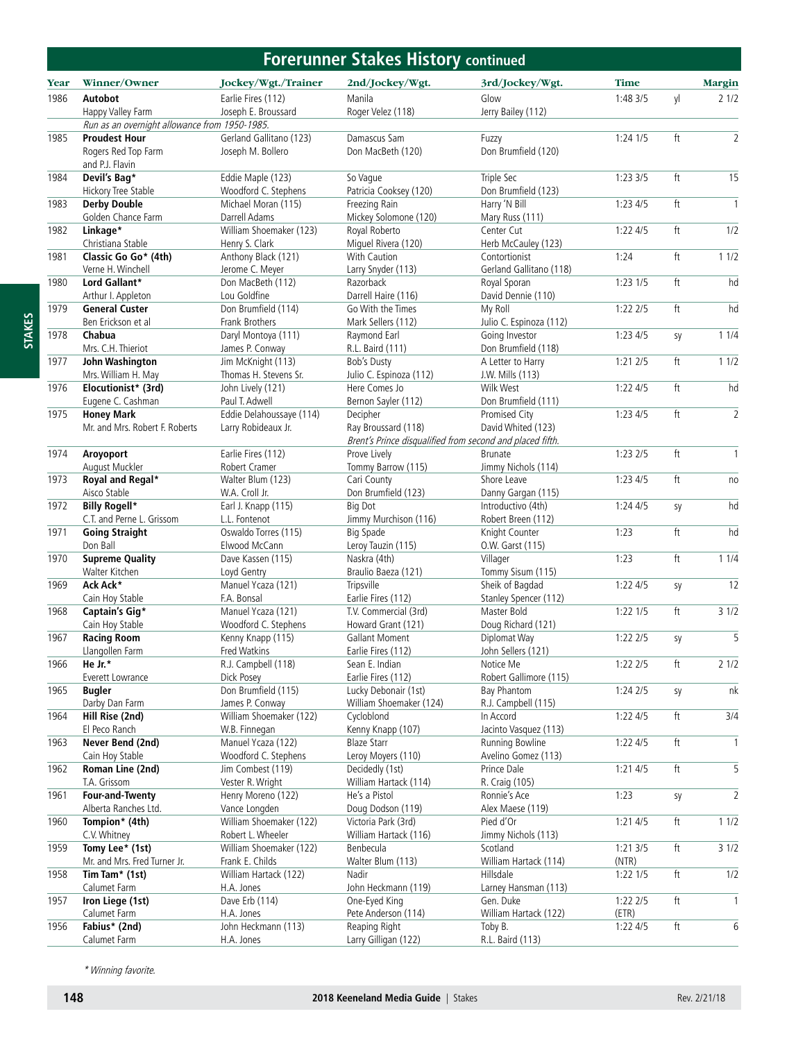#### **Forerunner Stakes History continued**

|             |                                               |                                                 | crumer stands motor                                       | <u>continueu</u>                    |              |                            |                |
|-------------|-----------------------------------------------|-------------------------------------------------|-----------------------------------------------------------|-------------------------------------|--------------|----------------------------|----------------|
| <b>Year</b> | Winner/Owner                                  | Jockey/Wgt./Trainer                             | 2nd/Jockey/Wgt.                                           | 3rd/Jockey/Wgt.                     | <b>Time</b>  |                            | Margin         |
| 1986        | Autobot                                       | Earlie Fires (112)                              | Manila                                                    | Glow                                | 1:48 3/5     | yl                         | 21/2           |
|             | Happy Valley Farm                             | Joseph E. Broussard                             | Roger Velez (118)                                         | Jerry Bailey (112)                  |              |                            |                |
|             | Run as an overnight allowance from 1950-1985. |                                                 |                                                           |                                     |              |                            |                |
| 1985        | <b>Proudest Hour</b>                          | Gerland Gallitano (123)                         | Damascus Sam                                              | Fuzzy                               | 1:24 1/5     | ft                         | $\overline{2}$ |
|             | Rogers Red Top Farm                           | Joseph M. Bollero                               | Don MacBeth (120)                                         | Don Brumfield (120)                 |              |                            |                |
|             | and P.J. Flavin<br>Devil's Bag*               |                                                 |                                                           |                                     |              | ft                         | 15             |
| 1984        | Hickory Tree Stable                           | Eddie Maple (123)<br>Woodford C. Stephens       | So Vaque<br>Patricia Cooksey (120)                        | Triple Sec<br>Don Brumfield (123)   | 1:233/5      |                            |                |
| 1983        | <b>Derby Double</b>                           | Michael Moran (115)                             | Freezing Rain                                             | Harry 'N Bill                       | 1:234/5      | ft                         | $\mathbf{1}$   |
|             | Golden Chance Farm                            | Darrell Adams                                   | Mickey Solomone (120)                                     | Mary Russ (111)                     |              |                            |                |
| 1982        | Linkage*                                      | William Shoemaker (123)                         | Royal Roberto                                             | Center Cut                          | 1:224/5      | ft                         | 1/2            |
|             | Christiana Stable                             | Henry S. Clark                                  | Miguel Rivera (120)                                       | Herb McCauley (123)                 |              |                            |                |
| 1981        | Classic Go Go* (4th)                          | Anthony Black (121)                             | With Caution                                              | Contortionist                       | 1:24         | $\ensuremath{\mathsf{ft}}$ | 11/2           |
|             | Verne H. Winchell                             | Jerome C. Meyer                                 | Larry Snyder (113)                                        | Gerland Gallitano (118)             |              |                            |                |
| 1980        | Lord Gallant*                                 | Don MacBeth (112)                               | Razorback                                                 | Royal Sporan                        | $1:23$ $1/5$ | ft                         | hd             |
|             | Arthur I. Appleton                            | Lou Goldfine                                    | Darrell Haire (116)                                       | David Dennie (110)                  |              |                            |                |
| 1979        | <b>General Custer</b>                         | Don Brumfield (114)                             | Go With the Times                                         | My Roll                             | 1:222/5      | ft                         | hd             |
|             | Ben Erickson et al                            | Frank Brothers                                  | Mark Sellers (112)                                        | Julio C. Espinoza (112)             |              |                            |                |
| 1978        | Chabua                                        | Daryl Montoya (111)                             | Raymond Earl                                              | Going Investor                      | 1:234/5      | sy                         | 11/4           |
|             | Mrs. C.H. Thieriot                            | James P. Conway                                 | R.L. Baird (111)                                          | Don Brumfield (118)                 |              |                            |                |
| 1977        | John Washington                               | Jim McKnight (113)                              | Bob's Dusty                                               | A Letter to Harry                   | 1:212/5      | ft                         | 11/2           |
|             | Mrs. William H. May                           | Thomas H. Stevens Sr.                           | Julio C. Espinoza (112)                                   | J.W. Mills (113)                    |              |                            |                |
| 1976        | Elocutionist* (3rd)                           | John Lively (121)                               | Here Comes Jo                                             | Wilk West                           | 1:224/5      | ft                         | hd             |
| 1975        | Eugene C. Cashman<br><b>Honey Mark</b>        | Paul T. Adwell                                  | Bernon Sayler (112)<br>Decipher                           | Don Brumfield (111)                 |              | $\operatorname{\sf ft}$    | $\overline{2}$ |
|             | Mr. and Mrs. Robert F. Roberts                | Eddie Delahoussaye (114)<br>Larry Robideaux Jr. | Ray Broussard (118)                                       | Promised City<br>David Whited (123) | 1:234/5      |                            |                |
|             |                                               |                                                 | Brent's Prince disqualified from second and placed fifth. |                                     |              |                            |                |
| 1974        | Aroyoport                                     | Earlie Fires (112)                              | Prove Lively                                              | <b>Brunate</b>                      | 1:232/5      | ft                         | $\mathbf{1}$   |
|             | August Muckler                                | Robert Cramer                                   | Tommy Barrow (115)                                        | Jimmy Nichols (114)                 |              |                            |                |
| 1973        | Royal and Regal*                              | Walter Blum (123)                               | Cari County                                               | Shore Leave                         | 1:234/5      | $\operatorname{\sf ft}$    | no             |
|             | Aisco Stable                                  | W.A. Croll Jr.                                  | Don Brumfield (123)                                       | Danny Gargan (115)                  |              |                            |                |
| 1972        | <b>Billy Rogell*</b>                          | Earl J. Knapp (115)                             | Big Dot                                                   | Introductivo (4th)                  | 1:244/5      | sy                         | hd             |
|             | C.T. and Perne L. Grissom                     | L.L. Fontenot                                   | Jimmy Murchison (116)                                     | Robert Breen (112)                  |              |                            |                |
| 1971        | <b>Going Straight</b>                         | Oswaldo Torres (115)                            | <b>Big Spade</b>                                          | Knight Counter                      | 1:23         | $\ensuremath{\mathsf{ft}}$ | hd             |
|             | Don Ball                                      | Elwood McCann                                   | Leroy Tauzin (115)                                        | O.W. Garst (115)                    |              |                            |                |
| 1970        | <b>Supreme Quality</b>                        | Dave Kassen (115)                               | Naskra (4th)                                              | Villager                            | 1:23         | ft                         | 11/4           |
|             | Walter Kitchen                                | Loyd Gentry                                     | Braulio Baeza (121)                                       | Tommy Sisum (115)                   |              |                            |                |
| 1969        | Ack Ack*                                      | Manuel Ycaza (121)                              | Tripsville                                                | Sheik of Bagdad                     | 1:224/5      | sy                         | 12             |
|             | Cain Hoy Stable                               | F.A. Bonsal                                     | Earlie Fires (112)                                        | Stanley Spencer (112)               |              |                            |                |
| 1968        | Captain's Gig*                                | Manuel Ycaza (121)                              | T.V. Commercial (3rd)                                     | Master Bold                         | $1:22$ $1/5$ | ft                         | 31/2           |
|             | Cain Hoy Stable                               | Woodford C. Stephens                            | Howard Grant (121)                                        | Doug Richard (121)                  |              |                            |                |
| 1967        | <b>Racing Room</b>                            | Kenny Knapp (115)                               | Gallant Moment                                            | Diplomat Way                        | $1:22$ $2/5$ | sy                         | 5              |
|             | Llangollen Farm                               | Fred Watkins                                    | Earlie Fires (112)                                        | John Sellers (121)                  |              |                            |                |
| 1966        | He Jr.*<br>Everett Lowrance                   | R.J. Campbell (118)<br>Dick Posey               | Sean E. Indian<br>Earlie Fires (112)                      | Notice Me<br>Robert Gallimore (115) | 1:22 2/5     | ft                         | 21/2           |
| 1965        | <b>Bugler</b>                                 | Don Brumfield (115)                             | Lucky Debonair (1st)                                      | Bay Phantom                         | 1:242/5      |                            | nk             |
|             | Darby Dan Farm                                | James P. Conway                                 | William Shoemaker (124)                                   | R.J. Campbell (115)                 |              | sy                         |                |
| 1964        | Hill Rise (2nd)                               | William Shoemaker (122)                         | Cycloblond                                                | In Accord                           | 1:224/5      | $\ensuremath{\mathsf{ft}}$ | 3/4            |
|             | El Peco Ranch                                 | W.B. Finnegan                                   | Kenny Knapp (107)                                         | Jacinto Vasquez (113)               |              |                            |                |
| 1963        | Never Bend (2nd)                              | Manuel Ycaza (122)                              | <b>Blaze Starr</b>                                        | Running Bowline                     | 1:224/5      | ft                         | 1              |
|             | Cain Hoy Stable                               | Woodford C. Stephens                            | Leroy Moyers (110)                                        | Avelino Gomez (113)                 |              |                            |                |
| 1962        | Roman Line (2nd)                              | Jim Combest (119)                               | Decidedly (1st)                                           | Prince Dale                         | 1:214/5      | $\ensuremath{\mathsf{ft}}$ | 5              |
|             | T.A. Grissom                                  | Vester R. Wright                                | William Hartack (114)                                     | R. Craig (105)                      |              |                            |                |
| 1961        | <b>Four-and-Twenty</b>                        | Henry Moreno (122)                              | He's a Pistol                                             | Ronnie's Ace                        | 1:23         | sy                         | $\overline{2}$ |
|             | Alberta Ranches Ltd.                          | Vance Longden                                   | Doug Dodson (119)                                         | Alex Maese (119)                    |              |                            |                |
| 1960        | Tompion* (4th)                                | William Shoemaker (122)                         | Victoria Park (3rd)                                       | Pied d'Or                           | 1:214/5      | ft                         | 11/2           |
|             | C.V. Whitney                                  | Robert L. Wheeler                               | William Hartack (116)                                     | Jimmy Nichols (113)                 |              |                            |                |
| 1959        | Tomy Lee* (1st)                               | William Shoemaker (122)                         | Benbecula                                                 | Scotland                            | 1:213/5      | ft                         | 31/2           |
|             | Mr. and Mrs. Fred Turner Jr.                  | Frank E. Childs                                 | Walter Blum (113)                                         | William Hartack (114)               | (NTR)        |                            |                |
| 1958        | Tim Tam* (1st)                                | William Hartack (122)                           | Nadir                                                     | Hillsdale                           | $1:22$ $1/5$ | $\ensuremath{\mathsf{ft}}$ | 1/2            |
|             | Calumet Farm                                  | H.A. Jones                                      | John Heckmann (119)                                       | Larney Hansman (113)                |              |                            |                |
| 1957        | Iron Liege (1st)                              | Dave Erb (114)                                  | One-Eyed King                                             | Gen. Duke                           | 1:222/5      | ft                         | 1              |
|             | Calumet Farm                                  | H.A. Jones                                      | Pete Anderson (114)                                       | William Hartack (122)               | (ETR)        |                            |                |
| 1956        | Fabius* (2nd)                                 | John Heckmann (113)                             | Reaping Right                                             | Toby B.                             | 1:224/5      | ft                         | 6              |
|             | Calumet Farm                                  | H.A. Jones                                      | Larry Gilligan (122)                                      | R.L. Baird (113)                    |              |                            |                |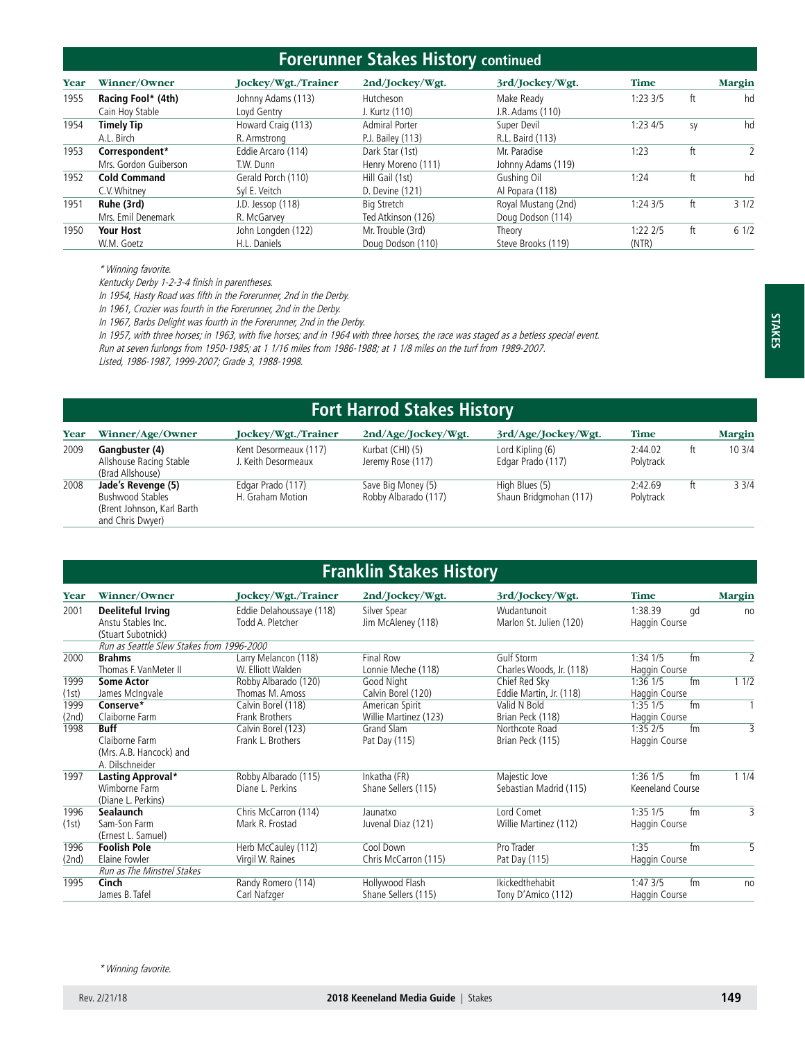### **Forerunner Stakes History continued**

| Year | Winner/Owner          | Jockey/Wgt./Trainer | 2nd/Jockey/Wgt.    | 3rd/Jockey/Wgt.     | <b>Time</b> |    | <b>Margin</b> |
|------|-----------------------|---------------------|--------------------|---------------------|-------------|----|---------------|
| 1955 | Racing Fool* (4th)    | Johnny Adams (113)  | Hutcheson          | Make Ready          | 1:23.3/5    | ft | hd            |
|      | Cain Hoy Stable       | Lovd Gentry         | J. Kurtz (110)     | J.R. Adams (110)    |             |    |               |
| 1954 | <b>Timely Tip</b>     | Howard Craig (113)  | Admiral Porter     | Super Devil         | 1:23.4/5    | sy | hd            |
|      | A.L. Birch            | R. Armstrong        | P.J. Bailey (113)  | R.L. Baird (113)    |             |    |               |
| 1953 | Correspondent*        | Eddie Arcaro (114)  | Dark Star (1st)    | Mr. Paradise        | 1:23        | ft |               |
|      | Mrs. Gordon Guiberson | T.W. Dunn           | Henry Moreno (111) | Johnny Adams (119)  |             |    |               |
| 1952 | <b>Cold Command</b>   | Gerald Porch (110)  | Hill Gail (1st)    | Gushing Oil         | 1:24        | ft | hd            |
|      | C.V. Whitney          | Svl E. Veitch       | D. Devine (121)    | Al Popara (118)     |             |    |               |
| 1951 | Ruhe (3rd)            | J.D. Jessop (118)   | Bia Stretch        | Royal Mustang (2nd) | 1:243/5     | ft | 31/2          |
|      | Mrs. Emil Denemark    | R. McGarvey         | Ted Atkinson (126) | Doug Dodson (114)   |             |    |               |
| 1950 | <b>Your Host</b>      | John Longden (122)  | Mr. Trouble (3rd)  | Theory              | 1:22 2/5    | ft | 61/2          |
|      | W.M. Goetz            | H.L. Daniels        | Doug Dodson (110)  | Steve Brooks (119)  | (NTR)       |    |               |

\* Winning favorite.

Kentucky Derby 1-2-3-4 finish in parentheses.

In 1954, Hasty Road was fifth in the Forerunner, 2nd in the Derby.

In 1961, Crozier was fourth in the Forerunner, 2nd in the Derby.

In 1967, Barbs Delight was fourth in the Forerunner, 2nd in the Derby.

In 1957, with three horses; in 1963, with five horses; and in 1964 with three horses, the race was staged as a betless special event.

Run at seven furlongs from 1950-1985; at 1 1/16 miles from 1986-1988; at 1 1/8 miles on the turf from 1989-2007.

Listed, 1986-1987, 1999-2007; Grade 3, 1988-1998.

|      | <b>Fort Harrod Stakes History</b>                                                                |                                              |                                            |                                          |                      |    |               |  |  |  |  |
|------|--------------------------------------------------------------------------------------------------|----------------------------------------------|--------------------------------------------|------------------------------------------|----------------------|----|---------------|--|--|--|--|
| Year | Winner/Age/Owner                                                                                 | Jockey/Wgt./Trainer                          | 2nd/Age/Jockey/Wgt.                        | 3rd/Age/Jockey/Wgt.                      | <b>Time</b>          |    | <b>Margin</b> |  |  |  |  |
| 2009 | Gangbuster (4)<br>Allshouse Racing Stable<br>(Brad Allshouse)                                    | Kent Desormeaux (117)<br>J. Keith Desormeaux | Kurbat (CHI) (5)<br>Jeremy Rose (117)      | Lord Kipling (6)<br>Edgar Prado (117)    | 2:44.02<br>Polytrack | ft | 103/4         |  |  |  |  |
| 2008 | Jade's Revenge (5)<br><b>Bushwood Stables</b><br>(Brent Johnson, Karl Barth)<br>and Chris Dwyer) | Edgar Prado (117)<br>H. Graham Motion        | Save Big Money (5)<br>Robby Albarado (117) | High Blues (5)<br>Shaun Bridgmohan (117) | 2:42.69<br>Polytrack | ft | 33/4          |  |  |  |  |

|               | <b>Franklin Stakes History</b>                                              |                                              |                                          |                                          |                                        |                |  |  |  |  |  |
|---------------|-----------------------------------------------------------------------------|----------------------------------------------|------------------------------------------|------------------------------------------|----------------------------------------|----------------|--|--|--|--|--|
| Year          | Winner/Owner                                                                | Jockey/Wgt./Trainer                          | 2nd/Jockey/Wgt.                          | 3rd/Jockey/Wgt.                          | <b>Time</b>                            | Margin         |  |  |  |  |  |
| 2001          | <b>Deeliteful Irving</b><br>Anstu Stables Inc.<br>(Stuart Subotnick)        | Eddie Delahoussaye (118)<br>Todd A. Pletcher | Silver Spear<br>Jim McAleney (118)       | Wudantunoit<br>Marlon St. Julien (120)   | 1:38.39<br>qd<br>Haggin Course         | no             |  |  |  |  |  |
|               | Run as Seattle Slew Stakes from 1996-2000                                   |                                              |                                          |                                          |                                        |                |  |  |  |  |  |
| 2000          | <b>Brahms</b><br>Thomas F. VanMeter II                                      | Larry Melancon (118)<br>W. Elliott Walden    | <b>Final Row</b><br>Lonnie Meche (118)   | Gulf Storm<br>Charles Woods, Jr. (118)   | $1:34$ $1/5$<br>fm<br>Haggin Course    | $\overline{2}$ |  |  |  |  |  |
| 1999<br>(1st) | <b>Some Actor</b><br>James McIngvale                                        | Robby Albarado (120)<br>Thomas M. Amoss      | Good Night<br>Calvin Borel (120)         | Chief Red Sky<br>Eddie Martin, Jr. (118) | $1:36$ $1/5$<br>fm<br>Haggin Course    | 11/2           |  |  |  |  |  |
| 1999<br>(2nd) | Conserve*<br>Claiborne Farm                                                 | Calvin Borel (118)<br>Frank Brothers         | American Spirit<br>Willie Martinez (123) | Valid N Bold<br>Brian Peck (118)         | $1:35$ $1/5$<br>fm<br>Haggin Course    | $\mathbf{1}$   |  |  |  |  |  |
| 1998          | <b>Buff</b><br>Claiborne Farm<br>(Mrs. A.B. Hancock) and<br>A. Dilschneider | Calvin Borel (123)<br>Frank L. Brothers      | Grand Slam<br>Pat Day (115)              | Northcote Road<br>Brian Peck (115)       | fm<br>$1:35$ $2/5$<br>Haggin Course    | 3              |  |  |  |  |  |
| 1997          | Lasting Approval*<br>Wimborne Farm<br>(Diane L. Perkins)                    | Robby Albarado (115)<br>Diane L. Perkins     | Inkatha (FR)<br>Shane Sellers (115)      | Majestic Jove<br>Sebastian Madrid (115)  | $1:36$ $1/5$<br>fm<br>Keeneland Course | 11/4           |  |  |  |  |  |
| 1996<br>(1st) | Sealaunch<br>Sam-Son Farm<br>(Ernest L. Samuel)                             | Chris McCarron (114)<br>Mark R. Frostad      | Jaunatxo<br>Juvenal Diaz (121)           | Lord Comet<br>Willie Martinez (112)      | $1:35$ $1/5$<br>fm<br>Haggin Course    | 3              |  |  |  |  |  |
| 1996<br>(2nd) | <b>Foolish Pole</b><br>Elaine Fowler<br>Run as The Minstrel Stakes          | Herb McCauley (112)<br>Virgil W. Raines      | Cool Down<br>Chris McCarron (115)        | Pro Trader<br>Pat Day (115)              | fm<br>1:35<br>Haggin Course            | 5              |  |  |  |  |  |
| 1995          | Cinch<br>James B. Tafel                                                     | Randy Romero (114)<br>Carl Nafzger           | Hollywood Flash<br>Shane Sellers (115)   | Ikickedthehabit<br>Tony D'Amico (112)    | fm<br>1:473/5<br>Haggin Course         | no             |  |  |  |  |  |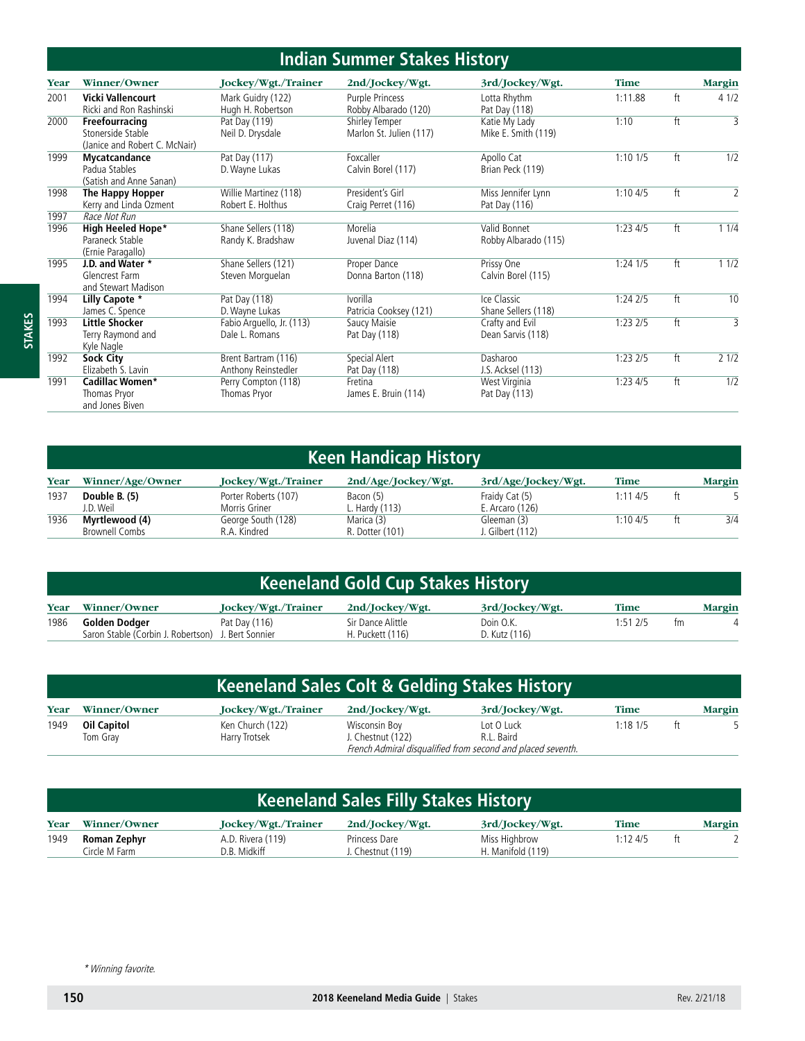#### **Indian Summer Stakes History**

|              |                                                                                  |                                             | <u>IIIUI DUILIIIII JUNES MISLUI V</u>     |                                      |              |    |                |
|--------------|----------------------------------------------------------------------------------|---------------------------------------------|-------------------------------------------|--------------------------------------|--------------|----|----------------|
| Year         | Winner/Owner                                                                     | Jockey/Wgt./Trainer                         | 2nd/Jockey/Wgt.                           | 3rd/Jockey/Wgt.                      | <b>Time</b>  |    | <b>Margin</b>  |
| 2001         | <b>Vicki Vallencourt</b><br>Ricki and Ron Rashinski                              | Mark Guidry (122)<br>Hugh H. Robertson      | Purple Princess<br>Robby Albarado (120)   | Lotta Rhythm<br>Pat Day (118)        | 1:11.88      | ft | 41/2           |
| 2000         | Freefourracing<br>Stonerside Stable<br>(Janice and Robert C. McNair)             | Pat Day (119)<br>Neil D. Drysdale           | Shirley Temper<br>Marlon St. Julien (117) | Katie My Lady<br>Mike E. Smith (119) | 1:10         | ft | 3              |
| 1999         | Mycatcandance<br>Padua Stables<br>(Satish and Anne Sanan)                        | Pat Day (117)<br>D. Wayne Lukas             | Foxcaller<br>Calvin Borel (117)           | Apollo Cat<br>Brian Peck (119)       | 1:101/5      | ft | 1/2            |
| 1998         | The Happy Hopper<br>Kerry and Linda Ozment                                       | Willie Martinez (118)<br>Robert E. Holthus  | President's Girl<br>Craig Perret (116)    | Miss Jennifer Lynn<br>Pat Day (116)  | 1:104/5      | ft | $\overline{2}$ |
| 1997<br>1996 | Race Not Run<br><b>High Heeled Hope*</b><br>Paraneck Stable<br>(Ernie Paragallo) | Shane Sellers (118)<br>Randy K. Bradshaw    | Morelia<br>Juvenal Diaz (114)             | Valid Bonnet<br>Robby Albarado (115) | 1:234/5      | ft | 11/4           |
| 1995         | J.D. and Water *<br>Glencrest Farm<br>and Stewart Madison                        | Shane Sellers (121)<br>Steven Morguelan     | Proper Dance<br>Donna Barton (118)        | Prissy One<br>Calvin Borel (115)     | $1:24$ $1/5$ | ft | 11/2           |
| 1994         | Lilly Capote *<br>James C. Spence                                                | Pat Day (118)<br>D. Wayne Lukas             | Ivorilla<br>Patricia Cooksey (121)        | Ice Classic<br>Shane Sellers (118)   | 1:242/5      | ft | 10             |
| 1993         | <b>Little Shocker</b><br>Terry Raymond and<br>Kyle Nagle                         | Fabio Arguello, Jr. (113)<br>Dale L. Romans | Saucy Maisie<br>Pat Day (118)             | Crafty and Evil<br>Dean Sarvis (118) | 1:232/5      | ft | $\overline{3}$ |
| 1992         | Sock City<br>Elizabeth S. Lavin                                                  | Brent Bartram (116)<br>Anthony Reinstedler  | Special Alert<br>Pat Day (118)            | Dasharoo<br>J.S. Acksel (113)        | $1:23$ $2/5$ | ft | 21/2           |
| 1991         | Cadillac Women*<br>Thomas Pryor<br>and Jones Biven                               | Perry Compton (118)<br>Thomas Pryor         | Fretina<br>James E. Bruin (114)           | West Virginia<br>Pat Day (113)       | $1:23$ 4/5   | ft | 1/2            |

# **Keen Handicap History**

| Year | Winner/Age/Owner | Jockey/Wgt./Trainer  | 2nd/Age/Jockey/Wgt. | 3rd/Age/Jockey/Wgt. | <b>Time</b> |    | Margin |
|------|------------------|----------------------|---------------------|---------------------|-------------|----|--------|
| 1937 | Double B. (5)    | Porter Roberts (107) | Bacon (5)           | Fraidy Cat (5)      | 1:114/5     | ft |        |
|      | J.D. Weil        | Morris Griner        | Hardy (113)         | E. Arcaro (126)     |             |    |        |
| 1936 | Myrtlewood (4)   | George South (128)   | Marica (3)          | Gleeman (3)         | 1:104/5     | ft | 3/4    |
|      | Brownell Combs   | R.A. Kindred         | R. Dotter (101)     | J. Gilbert (112)    |             |    |        |

|      | <b>Keeneland Gold Cup Stakes History</b>                            |                     |                                       |                            |              |    |        |  |  |  |
|------|---------------------------------------------------------------------|---------------------|---------------------------------------|----------------------------|--------------|----|--------|--|--|--|
| Year | Winner/Owner                                                        | Jockey/Wgt./Trainer | 2nd/Jockey/Wgt.                       | 3rd/Jockey/Wgt.            | <b>Time</b>  |    | Margin |  |  |  |
| 1986 | Golden Dodger<br>Saron Stable (Corbin J. Robertson) J. Bert Sonnier | Pat Day (116)       | Sir Dance Alittle<br>H. Puckett (116) | Doin O.K.<br>D. Kutz (116) | $1:51$ $2/5$ | tm |        |  |  |  |

|      | <b>Keeneland Sales Colt &amp; Gelding Stakes History</b> |                                   |                                    |                                                             |            |    |               |  |  |  |
|------|----------------------------------------------------------|-----------------------------------|------------------------------------|-------------------------------------------------------------|------------|----|---------------|--|--|--|
| Year | Winner/Owner                                             | Jockey/Wgt./Trainer               | 2nd/Jockey/Wgt.                    | 3rd/Jockey/Wgt.                                             | Time       |    | <b>Margin</b> |  |  |  |
| 1949 | Oil Capitol<br>Tom Grav                                  | Ken Church (122)<br>Harry Trotsek | Wisconsin Boy<br>J. Chestnut (122) | Lot O Luck<br>R.L. Baird                                    | $1:18$ 1/5 | ft |               |  |  |  |
|      |                                                          |                                   |                                    | French Admiral disqualified from second and placed seventh. |            |    |               |  |  |  |

|      | <b>Keeneland Sales Filly Stakes History</b> |                                   |                                    |                                    |         |    |               |  |  |  |  |
|------|---------------------------------------------|-----------------------------------|------------------------------------|------------------------------------|---------|----|---------------|--|--|--|--|
| Year | Winner/Owner                                | Jockey/Wgt./Trainer               | 2nd/Jockey/Wgt.                    | 3rd/Jockey/Wgt.                    | Time    |    | <b>Margin</b> |  |  |  |  |
| 1949 | Roman Zephyr<br>Circle M Farm               | A.D. Rivera (119)<br>D.B. Midkiff | Princess Dare<br>J. Chestnut (119) | Miss Highbrow<br>H. Manifold (119) | 1:124/5 | ft |               |  |  |  |  |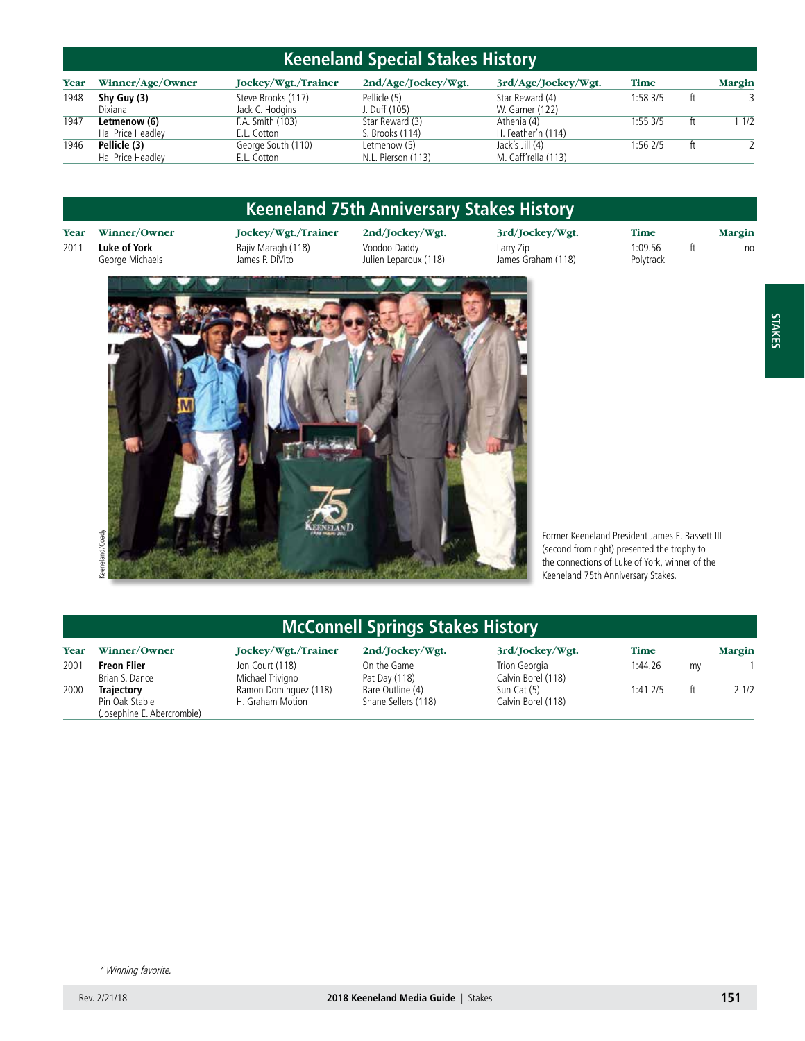# **Keeneland Special Stakes History**

| Year | Winner/Age/Owner                  | Jockey/Wgt./Trainer                 | 2nd/Age/Jockey/Wgt.                | 3rd/Age/Jockey/Wgt.                    | <b>Time</b> |    | <b>Margin</b> |
|------|-----------------------------------|-------------------------------------|------------------------------------|----------------------------------------|-------------|----|---------------|
| 1948 | Shy Guy (3)<br>Dixiana            | Steve Brooks (117)                  | Pellicle (5)                       | Star Reward (4)                        | 1:583/5     | ft |               |
| 1947 | Letmenow (6)                      | Jack C. Hodgins<br>F.A. Smith (103) | J. Duff (105)<br>Star Reward (3)   | W. Garner (122)<br>Athenia (4)         | 1:55.3/5    | ft | 1/2           |
|      | Hal Price Headley                 | E.L. Cotton                         | S. Brooks (114)                    | H. Feather'n (114)                     |             |    |               |
| 1946 | Pellicle (3)<br>Hal Price Headley | George South (110)<br>E.L. Cotton   | Letmenow (5)<br>N.L. Pierson (113) | Jack's Jill (4)<br>M. Caff'rella (113) | 1:56 2/5    | ft |               |

|      | <b>Keeneland 75th Anniversary Stakes History</b> |                                       |                                       |                                 |                      |  |        |  |  |
|------|--------------------------------------------------|---------------------------------------|---------------------------------------|---------------------------------|----------------------|--|--------|--|--|
| Year | Winner/Owner                                     | Jockey/Wgt./Trainer                   | 2nd/Jockey/Wgt.                       | 3rd/Jockey/Wgt.                 | <b>Time</b>          |  | Margin |  |  |
| 2011 | Luke of York<br>George Michaels                  | Rajiv Maragh (118)<br>James P. DiVito | Voodoo Daddy<br>Julien Leparoux (118) | Larry Zip<br>James Graham (118) | 1:09.56<br>Polytrack |  | no     |  |  |



Former Keeneland President James E. Bassett III (second from right) presented the trophy to the connections of Luke of York, winner of the Keeneland 75th Anniversary Stakes.

# **McConnell Springs Stakes History**

| Year | Winner/Owner                                 | Jockey/Wgt./Trainer   | 2nd/Jockey/Wgt.     | 3rd/Jockey/Wgt.    | Time         |    | <b>Margin</b> |
|------|----------------------------------------------|-----------------------|---------------------|--------------------|--------------|----|---------------|
| 2001 | <b>Freon Flier</b>                           | Jon Court (118)       | On the Game         | Trion Georgia      | 1:44.26      | mv |               |
|      | Brian S. Dance                               | Michael Trivigno      | Pat Day (118)       | Calvin Borel (118) |              |    |               |
| 2000 | <b>Trajectory</b>                            | Ramon Dominguez (118) | Bare Outline (4)    | Sun Cat (5)        | $1:41$ $2/5$ | ft | 21/2          |
|      | Pin Oak Stable<br>(Josephine E. Abercrombie) | H. Graham Motion      | Shane Sellers (118) | Calvin Borel (118) |              |    |               |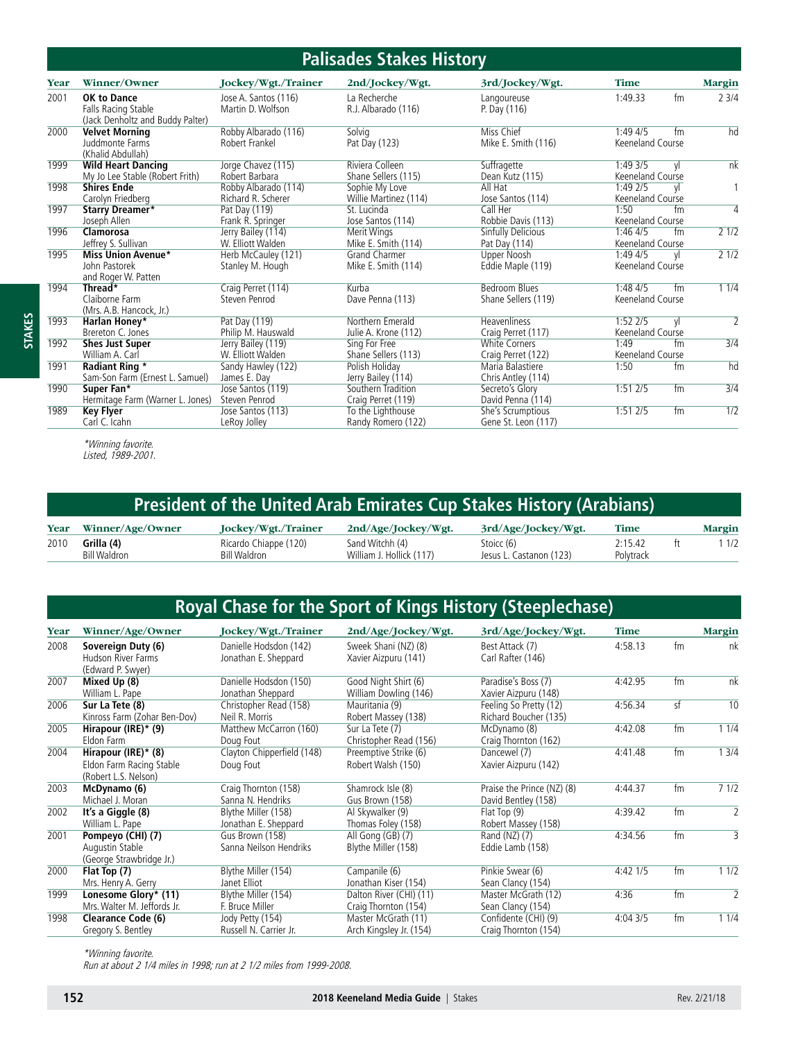| <b>Palisades Stakes History</b> |                                                                               |                                            |                                             |                                             |                                          |                         |  |  |
|---------------------------------|-------------------------------------------------------------------------------|--------------------------------------------|---------------------------------------------|---------------------------------------------|------------------------------------------|-------------------------|--|--|
| Year                            | Winner/Owner                                                                  | Jockey/Wgt./Trainer                        | 2nd/Jockey/Wgt.                             | 3rd/Jockey/Wgt.                             | <b>Time</b>                              | Margin                  |  |  |
| 2001                            | <b>OK to Dance</b><br>Falls Racing Stable<br>(Jack Denholtz and Buddy Palter) | Jose A. Santos (116)<br>Martin D. Wolfson  | La Recherche<br>R.J. Albarado (116)         | Langoureuse<br>P. Day (116)                 | 1:49.33<br>fm                            | 23/4                    |  |  |
| 2000                            | <b>Velvet Morning</b><br>Juddmonte Farms<br>(Khalid Abdullah)                 | Robby Albarado (116)<br>Robert Frankel     | Solvig<br>Pat Day (123)                     | Miss Chief<br>Mike E. Smith (116)           | $1:49\;4/5$<br>fm<br>Keeneland Course    | hd                      |  |  |
| 1999                            | <b>Wild Heart Dancing</b><br>My Jo Lee Stable (Robert Frith)                  | Jorge Chavez (115)<br>Robert Barbara       | Riviera Colleen<br>Shane Sellers (115)      | Suffragette<br>Dean Kutz (115)              | 1:49 3/5<br>٧I<br>Keeneland Course       | nk                      |  |  |
| 1998                            | <b>Shires Ende</b><br>Carolyn Friedberg                                       | Robby Albarado (114)<br>Richard R. Scherer | Sophie My Love<br>Willie Martinez (114)     | All Hat<br>Jose Santos (114)                | $1:49$ $2/5$<br>yl<br>Keeneland Course   |                         |  |  |
| 1997                            | <b>Starry Dreamer*</b><br>Joseph Allen                                        | Pat Day (119)<br>Frank R. Springer         | St. Lucinda<br>Jose Santos (114)            | Call Her<br>Robbie Davis (113)              | 1:50<br>fm<br>Keeneland Course           | 4                       |  |  |
| 1996                            | Clamorosa<br>Jeffrey S. Sullivan                                              | Jerry Bailey (114)<br>W. Elliott Walden    | Merit Wings<br>Mike E. Smith (114)          | Sinfully Delicious<br>Pat Day (114)         | 1:464/5<br>fm<br>Keeneland Course        | 21/2                    |  |  |
| 1995                            | <b>Miss Union Avenue*</b><br>John Pastorek<br>and Roger W. Patten             | Herb McCauley (121)<br>Stanley M. Hough    | <b>Grand Charmer</b><br>Mike E. Smith (114) | Upper Noosh<br>Eddie Maple (119)            | 1:49 4/5<br><b>v</b><br>Keeneland Course | 21/2                    |  |  |
| 1994                            | Thread*<br>Claiborne Farm<br>(Mrs. A.B. Hancock, Jr.)                         | Craig Perret (114)<br>Steven Penrod        | Kurba<br>Dave Penna (113)                   | <b>Bedroom Blues</b><br>Shane Sellers (119) | 1:484/5<br>fm<br>Keeneland Course        | 11/4                    |  |  |
| 1993                            | Harlan Honey*<br>Brereton C. Jones                                            | Pat Day (119)<br>Philip M. Hauswald        | Northern Emerald<br>Julie A. Krone (112)    | Heavenliness<br>Craig Perret (117)          | $1:52$ $2/5$<br>yl<br>Keeneland Course   | $\overline{\mathbf{2}}$ |  |  |
| 1992                            | <b>Shes Just Super</b><br>William A. Carl                                     | Jerry Bailey (119)<br>W. Elliott Walden    | Sing For Free<br>Shane Sellers (113)        | <b>White Corners</b><br>Craig Perret (122)  | 1:49<br>fm<br>Keeneland Course           | $\overline{3/4}$        |  |  |
| 1991                            | <b>Radiant Ring *</b><br>Sam-Son Farm (Ernest L. Samuel)                      | Sandy Hawley (122)<br>James E. Day         | Polish Holiday<br>Jerry Bailey (114)        | Maria Balastiere<br>Chris Antley (114)      | 1:50<br>fm                               | hd                      |  |  |
| 1990                            | Super Fan*<br>Hermitage Farm (Warner L. Jones)                                | Jose Santos (119)<br>Steven Penrod         | Southern Tradition<br>Craig Perret (119)    | Secreto's Glory<br>David Penna (114)        | fm<br>1:512/5                            | 3/4                     |  |  |
| 1989                            | Key Flyer<br>Carl C. Icahn                                                    | Jose Santos (113)<br>LeRoy Jolley          | To the Lighthouse<br>Randy Romero (122)     | She's Scrumptious<br>Gene St. Leon (117)    | 1:512/5<br>fm                            | 1/2                     |  |  |

**STAKES**

\*Winning favorite. Listed, 1989-2001.

| President of the United Arab Emirates Cup Stakes History (Arabians) \ |  |  |
|-----------------------------------------------------------------------|--|--|
|-----------------------------------------------------------------------|--|--|

|      | Year Winner/Age/Owner             | Jockey/Wgt./Trainer                   | 2nd/Age/lockev/Wgt.                         | 3rd/Age/Jockey/Wgt.                   | Time                 | <b>Margin</b> |
|------|-----------------------------------|---------------------------------------|---------------------------------------------|---------------------------------------|----------------------|---------------|
| 2010 | Grilla (4)<br><b>Bill Waldron</b> | Ricardo Chiappe (120)<br>Bill Waldron | Sand Witchh (4)<br>William J. Hollick (117) | Stoicc (6)<br>Jesus L. Castanon (123) | 2:15.42<br>Polytrack | 1/2           |

# **Royal Chase for the Sport of Kings History (Steeplechase)**

| Winner/Age/Owner             | Jockey/Wgt./Trainer                                                                                                                                                      | 2nd/Age/Jockey/Wgt.                                                                                                              | 3rd/Age/Jockey/Wgt.                                                                            | <b>Time</b>                                                                                                                                               |         | <b>Margin</b>  |
|------------------------------|--------------------------------------------------------------------------------------------------------------------------------------------------------------------------|----------------------------------------------------------------------------------------------------------------------------------|------------------------------------------------------------------------------------------------|-----------------------------------------------------------------------------------------------------------------------------------------------------------|---------|----------------|
| Sovereign Duty (6)           | Danielle Hodsdon (142)                                                                                                                                                   | Sweek Shani (NZ) (8)                                                                                                             | Best Attack (7)                                                                                | 4:58.13                                                                                                                                                   | fm      | nk             |
|                              |                                                                                                                                                                          |                                                                                                                                  |                                                                                                |                                                                                                                                                           |         |                |
|                              |                                                                                                                                                                          |                                                                                                                                  |                                                                                                |                                                                                                                                                           |         |                |
|                              |                                                                                                                                                                          |                                                                                                                                  |                                                                                                |                                                                                                                                                           |         | nk             |
| William L. Pape              | Jonathan Sheppard                                                                                                                                                        | William Dowling (146)                                                                                                            | Xavier Aizpuru (148)                                                                           |                                                                                                                                                           |         |                |
| Sur La Tete (8)              | Christopher Read (158)                                                                                                                                                   | Mauritania (9)                                                                                                                   | Feeling So Pretty (12)                                                                         | 4:56.34                                                                                                                                                   | sf      | 10             |
| Kinross Farm (Zohar Ben-Dov) | Neil R. Morris                                                                                                                                                           | Robert Massey (138)                                                                                                              | Richard Boucher (135)                                                                          |                                                                                                                                                           |         |                |
| Hirapour (IRE)* (9)          |                                                                                                                                                                          | Sur La Tete (7)                                                                                                                  | McDynamo (8)                                                                                   | 4:42.08                                                                                                                                                   | fm      | 11/4           |
| Eldon Farm                   | Doug Fout                                                                                                                                                                | Christopher Read (156)                                                                                                           | Craig Thornton (162)                                                                           |                                                                                                                                                           |         |                |
| Hirapour (IRE)* (8)          | Clayton Chipperfield (148)                                                                                                                                               | Preemptive Strike (6)                                                                                                            | Dancewel (7)                                                                                   | 4:41.48                                                                                                                                                   | fm      | 13/4           |
|                              |                                                                                                                                                                          | Robert Walsh (150)                                                                                                               |                                                                                                |                                                                                                                                                           |         |                |
| (Robert L.S. Nelson)         |                                                                                                                                                                          |                                                                                                                                  |                                                                                                |                                                                                                                                                           |         |                |
| McDynamo (6)                 | Craig Thornton (158)                                                                                                                                                     | Shamrock Isle (8)                                                                                                                | Praise the Prince (NZ) (8)                                                                     | 4:44.37                                                                                                                                                   | fm      | 71/2           |
| Michael J. Moran             | Sanna N. Hendriks                                                                                                                                                        | Gus Brown (158)                                                                                                                  | David Bentley (158)                                                                            |                                                                                                                                                           |         |                |
| It's a Giggle (8)            | Blythe Miller (158)                                                                                                                                                      | Al Skywalker (9)                                                                                                                 | Flat Top (9)                                                                                   | 4:39.42                                                                                                                                                   | fm      | $\overline{2}$ |
| William L. Pape              | Jonathan E. Sheppard                                                                                                                                                     | Thomas Foley (158)                                                                                                               | Robert Massey (158)                                                                            |                                                                                                                                                           |         |                |
| Pompeyo (CHI) (7)            | Gus Brown (158)                                                                                                                                                          | All Gong (GB) (7)                                                                                                                | Rand (NZ) (7)                                                                                  | 4:34.56                                                                                                                                                   | fm      | 3              |
| Augustin Stable              | Sanna Neilson Hendriks                                                                                                                                                   | Blythe Miller (158)                                                                                                              | Eddie Lamb (158)                                                                               |                                                                                                                                                           |         |                |
| (George Strawbridge Jr.)     |                                                                                                                                                                          |                                                                                                                                  |                                                                                                |                                                                                                                                                           |         |                |
|                              | Blythe Miller (154)                                                                                                                                                      | Campanile (6)                                                                                                                    | Pinkie Swear (6)                                                                               | $4:42$ $1/5$                                                                                                                                              | fm      | 11/2           |
|                              | Janet Elliot                                                                                                                                                             | Jonathan Kiser (154)                                                                                                             |                                                                                                |                                                                                                                                                           |         |                |
|                              |                                                                                                                                                                          |                                                                                                                                  |                                                                                                | 4:36                                                                                                                                                      | fm      | $\overline{2}$ |
| Mrs. Walter M. Jeffords Jr.  | F. Bruce Miller                                                                                                                                                          | Craig Thornton (154)                                                                                                             |                                                                                                |                                                                                                                                                           |         |                |
|                              |                                                                                                                                                                          |                                                                                                                                  |                                                                                                | 4:043/5                                                                                                                                                   | fm      | 11/4           |
| Gregory S. Bentley           | Russell N. Carrier Jr.                                                                                                                                                   | Arch Kingsley Jr. (154)                                                                                                          | Craig Thornton (154)                                                                           |                                                                                                                                                           |         |                |
|                              | Hudson River Farms<br>(Edward P. Swyer)<br>Mixed Up (8)<br>Eldon Farm Racing Stable<br>Flat Top (7)<br>Mrs. Henry A. Gerry<br>Lonesome Glory* (11)<br>Clearance Code (6) | Jonathan E. Sheppard<br>Danielle Hodsdon (150)<br>Matthew McCarron (160)<br>Doug Fout<br>Blythe Miller (154)<br>Jody Petty (154) | Xavier Aizpuru (141)<br>Good Night Shirt (6)<br>Dalton River (CHI) (11)<br>Master McGrath (11) | Carl Rafter (146)<br>Paradise's Boss (7)<br>Xavier Aizpuru (142)<br>Sean Clancy (154)<br>Master McGrath (12)<br>Sean Clancy (154)<br>Confidente (CHI) (9) | 4:42.95 | fm             |

\*Winning favorite.

Run at about 2 1/4 miles in 1998; run at 2 1/2 miles from 1999-2008.